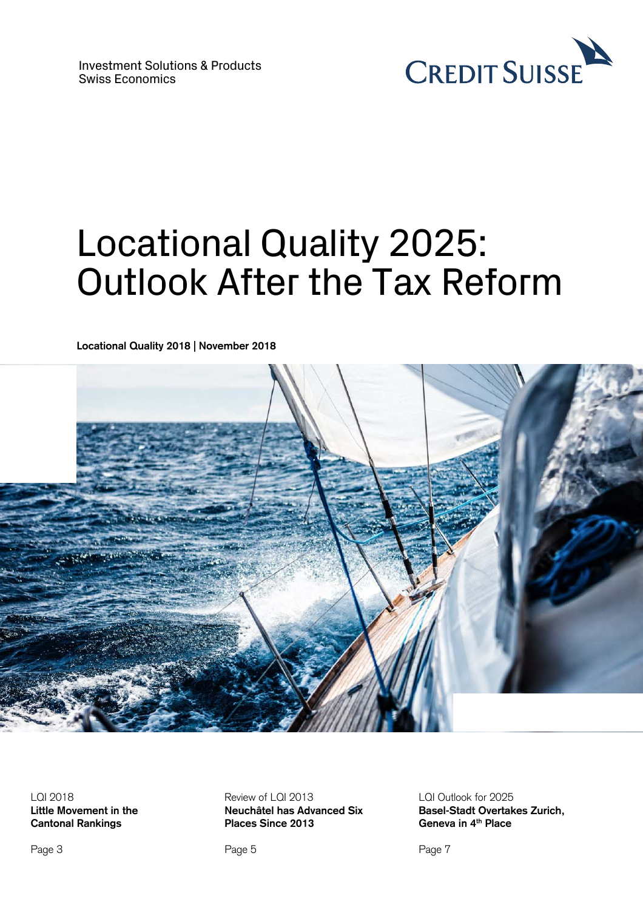

# Locational Quality 2025: Outlook After the Tax Reform

**Locational Quality 2018 | November 2018**



LQI 2018 **Little Movement in the Cantonal Rankings** 

Review of LQI 2013 **Neuchâtel has Advanced Six Places Since 2013** 

Page 5

LQI Outlook for 2025 **Basel-Stadt Overtakes Zurich, Geneva in 4th Place** 

Page 7

Page 3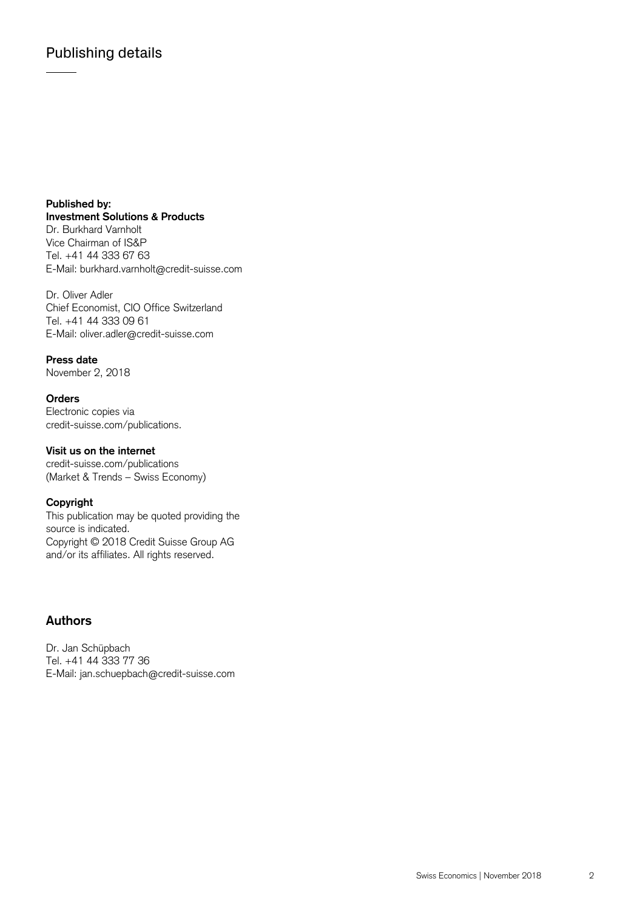**Published by: Investment Solutions & Products**  Dr. Burkhard Varnholt Vice Chairman of IS&P Tel. +41 44 333 67 63 E-Mail: burkhard.varnholt@credit-suisse.com

Dr. Oliver Adler Chief Economist, CIO Office Switzerland Tel. +41 44 333 09 61 E-Mail: oliver.adler@credit-suisse.com

#### **Press date**

November 2, 2018

#### **Orders**

Electronic copies via credit-suisse.com/publications.

#### **Visit us on the internet**

credit-suisse.com/publications (Market & Trends – Swiss Economy)

#### **Copyright**

This publication may be quoted providing the source is indicated. Copyright © 2018 Credit Suisse Group AG and/or its affiliates. All rights reserved.

### **Authors**

Dr. Jan Schüpbach Tel. +41 44 333 77 36 E-Mail: jan.schuepbach@credit-suisse.com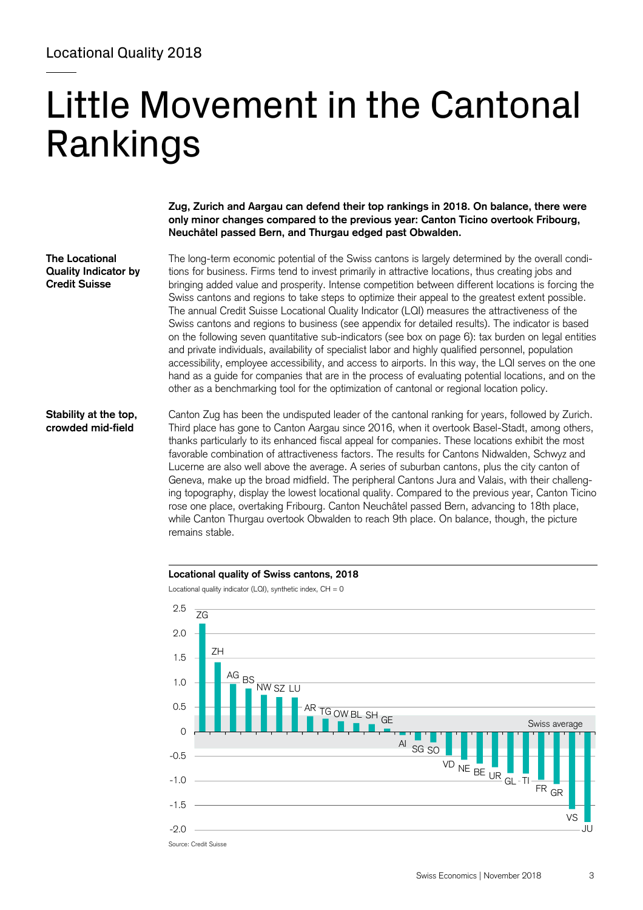# Little Movement in the Cantonal Rankings

**Zug, Zurich and Aargau can defend their top rankings in 2018. On balance, there were only minor changes compared to the previous year: Canton Ticino overtook Fribourg, Neuchâtel passed Bern, and Thurgau edged past Obwalden.** 

**The Locational Quality Indicator by Credit Suisse** 

The long-term economic potential of the Swiss cantons is largely determined by the overall conditions for business. Firms tend to invest primarily in attractive locations, thus creating jobs and bringing added value and prosperity. Intense competition between different locations is forcing the Swiss cantons and regions to take steps to optimize their appeal to the greatest extent possible. The annual Credit Suisse Locational Quality Indicator (LQI) measures the attractiveness of the Swiss cantons and regions to business (see appendix for detailed results). The indicator is based on the following seven quantitative sub-indicators (see box on page 6): tax burden on legal entities and private individuals, availability of specialist labor and highly qualified personnel, population accessibility, employee accessibility, and access to airports. In this way, the LQI serves on the one hand as a guide for companies that are in the process of evaluating potential locations, and on the other as a benchmarking tool for the optimization of cantonal or regional location policy.

#### **Stability at the top, crowded mid-field**

Canton Zug has been the undisputed leader of the cantonal ranking for years, followed by Zurich. Third place has gone to Canton Aargau since 2016, when it overtook Basel-Stadt, among others, thanks particularly to its enhanced fiscal appeal for companies. These locations exhibit the most favorable combination of attractiveness factors. The results for Cantons Nidwalden, Schwyz and Lucerne are also well above the average. A series of suburban cantons, plus the city canton of Geneva, make up the broad midfield. The peripheral Cantons Jura and Valais, with their challenging topography, display the lowest locational quality. Compared to the previous year, Canton Ticino rose one place, overtaking Fribourg. Canton Neuchâtel passed Bern, advancing to 18th place, while Canton Thurgau overtook Obwalden to reach 9th place. On balance, though, the picture remains stable.



Locational quality indicator (LQI), synthetic index,  $CH = 0$ 



Source: Credit Suisse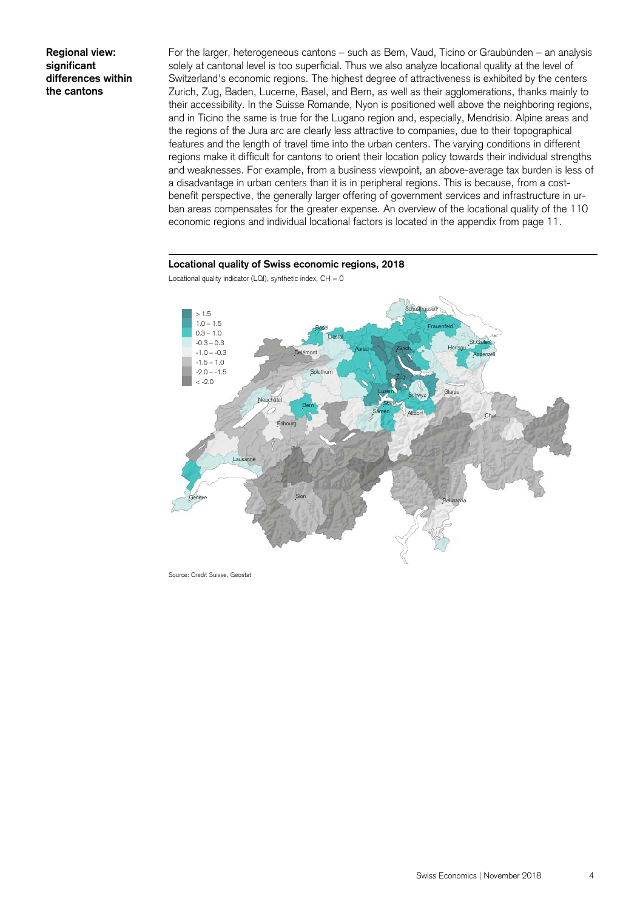**Regional view: significant differences within the cantons** 

For the larger, heterogeneous cantons – such as Bern, Vaud, Ticino or Graubünden – an analysis solely at cantonal level is too superficial. Thus we also analyze locational quality at the level of Switzerland's economic regions. The highest degree of attractiveness is exhibited by the centers Zurich, Zug, Baden, Lucerne, Basel, and Bern, as well as their agglomerations, thanks mainly to their accessibility. In the Suisse Romande, Nyon is positioned well above the neighboring regions, and in Ticino the same is true for the Lugano region and, especially, Mendrisio. Alpine areas and the regions of the Jura arc are clearly less attractive to companies, due to their topographical features and the length of travel time into the urban centers. The varying conditions in different regions make it difficult for cantons to orient their location policy towards their individual strengths and weaknesses. For example, from a business viewpoint, an above-average tax burden is less of a disadvantage in urban centers than it is in peripheral regions. This is because, from a costbenefit perspective, the generally larger offering of government services and infrastructure in urban areas compensates for the greater expense. An overview of the locational quality of the 110 economic regions and individual locational factors is located in the appendix from page 11.

#### **Locational quality of Swiss economic regions, 2018**



Locational quality indicator (LQI), synthetic index,  $CH = 0$ 

Source: Credit Suisse, Geostat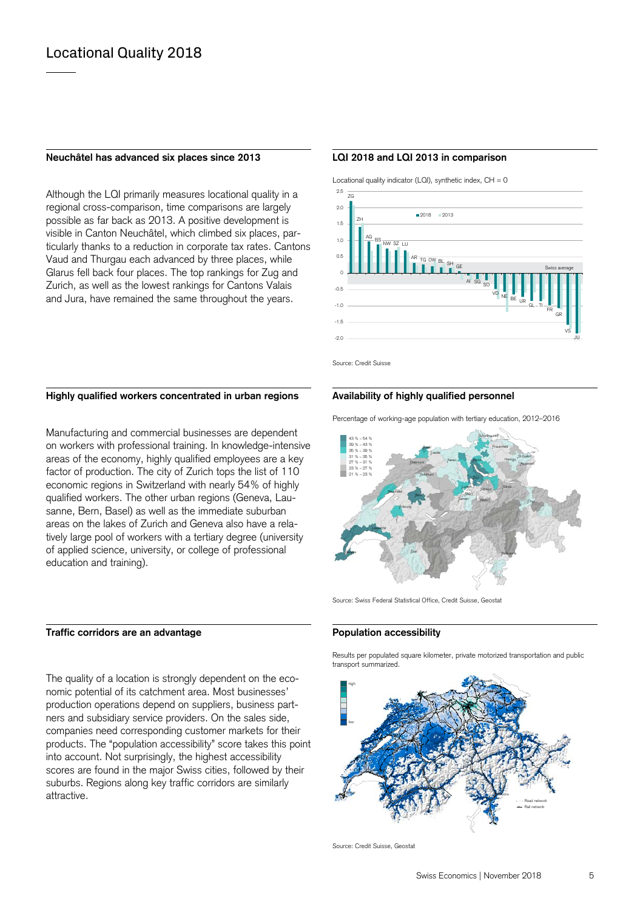#### **Neuchâtel has advanced six places since 2013 LQI 2018 and LQI 2013 in comparison**

Although the LQI primarily measures locational quality in a regional cross-comparison, time comparisons are largely possible as far back as 2013. A positive development is visible in Canton Neuchâtel, which climbed six places, particularly thanks to a reduction in corporate tax rates. Cantons Vaud and Thurgau each advanced by three places, while Glarus fell back four places. The top rankings for Zug and Zurich, as well as the lowest rankings for Cantons Valais and Jura, have remained the same throughout the years.

Locational quality indicator (LQI), synthetic index,  $CH = 0$ 



Source: Credit Suisse

#### Highly qualified workers concentrated in urban regions **Availability of highly qualified personnel**

Manufacturing and commercial businesses are dependent on workers with professional training. In knowledge-intensive areas of the economy, highly qualified employees are a key factor of production. The city of Zurich tops the list of 110 economic regions in Switzerland with nearly 54% of highly qualified workers. The other urban regions (Geneva, Lausanne, Bern, Basel) as well as the immediate suburban areas on the lakes of Zurich and Geneva also have a relatively large pool of workers with a tertiary degree (university of applied science, university, or college of professional education and training).

### Traffic corridors are an advantage **Population accessibility**

The quality of a location is strongly dependent on the economic potential of its catchment area. Most businesses' production operations depend on suppliers, business partners and subsidiary service providers. On the sales side, companies need corresponding customer markets for their products. The "population accessibility" score takes this point into account. Not surprisingly, the highest accessibility scores are found in the major Swiss cities, followed by their suburbs. Regions along key traffic corridors are similarly attractive.

Percentage of working-age population with tertiary education, 2012–2016



Source: Swiss Federal Statistical Office, Credit Suisse, Geostat

 Results per populated square kilometer, private motorized transportation and public transport summarized.



Source: Credit Suisse, Geostat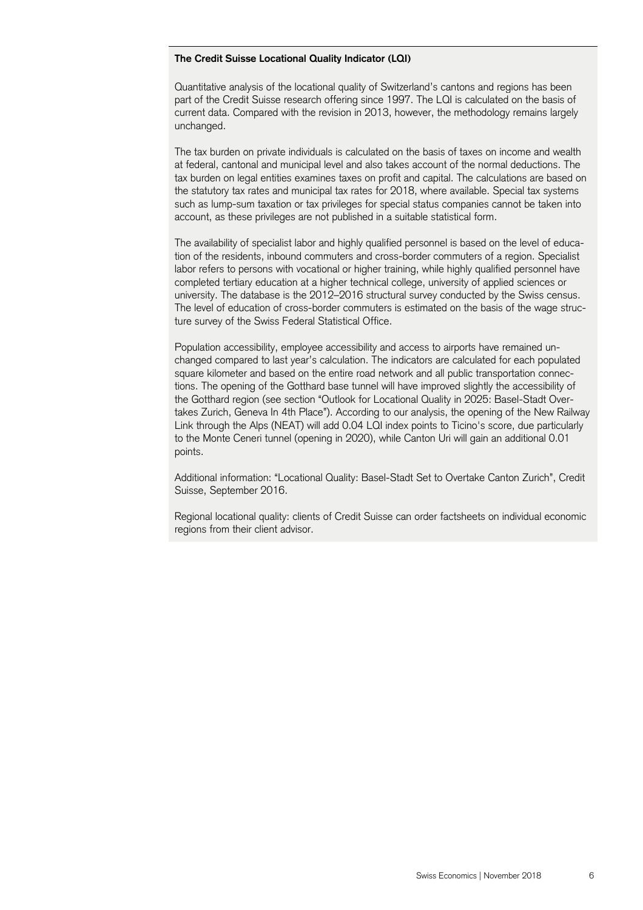#### **The Credit Suisse Locational Quality Indicator (LQI)**

Quantitative analysis of the locational quality of Switzerland's cantons and regions has been part of the Credit Suisse research offering since 1997. The LQI is calculated on the basis of current data. Compared with the revision in 2013, however, the methodology remains largely unchanged.

The tax burden on private individuals is calculated on the basis of taxes on income and wealth at federal, cantonal and municipal level and also takes account of the normal deductions. The tax burden on legal entities examines taxes on profit and capital. The calculations are based on the statutory tax rates and municipal tax rates for 2018, where available. Special tax systems such as lump-sum taxation or tax privileges for special status companies cannot be taken into account, as these privileges are not published in a suitable statistical form.

The availability of specialist labor and highly qualified personnel is based on the level of education of the residents, inbound commuters and cross-border commuters of a region. Specialist labor refers to persons with vocational or higher training, while highly qualified personnel have completed tertiary education at a higher technical college, university of applied sciences or university. The database is the 2012–2016 structural survey conducted by the Swiss census. The level of education of cross-border commuters is estimated on the basis of the wage structure survey of the Swiss Federal Statistical Office.

Population accessibility, employee accessibility and access to airports have remained unchanged compared to last year's calculation. The indicators are calculated for each populated square kilometer and based on the entire road network and all public transportation connections. The opening of the Gotthard base tunnel will have improved slightly the accessibility of the Gotthard region (see section "Outlook for Locational Quality in 2025: Basel-Stadt Overtakes Zurich, Geneva In 4th Place"). According to our analysis, the opening of the New Railway Link through the Alps (NEAT) will add 0.04 LQI index points to Ticino's score, due particularly to the Monte Ceneri tunnel (opening in 2020), while Canton Uri will gain an additional 0.01 points.

Additional information: "Locational Quality: Basel-Stadt Set to Overtake Canton Zurich", Credit Suisse, September 2016.

Regional locational quality: clients of Credit Suisse can order factsheets on individual economic regions from their client advisor.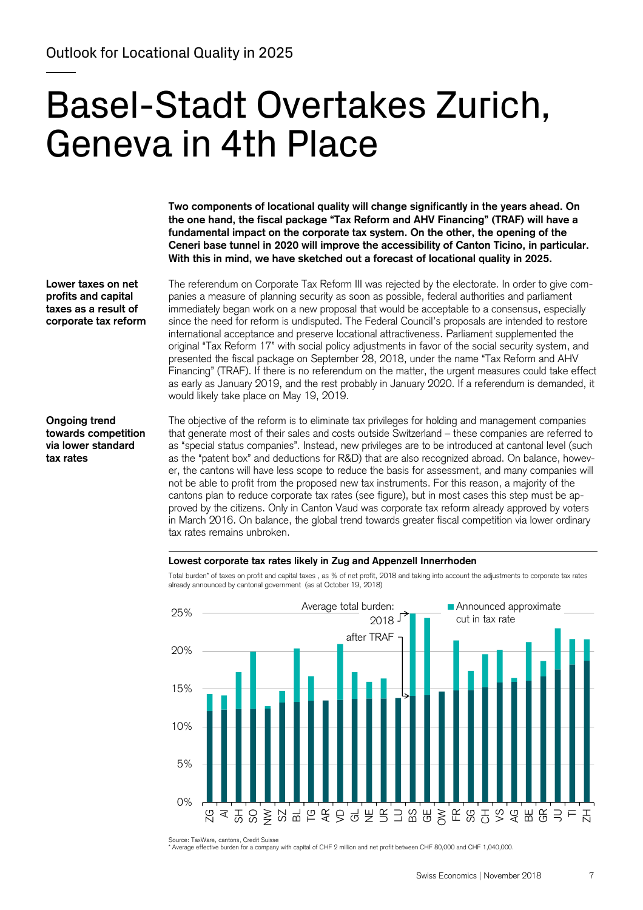# Basel-Stadt Overtakes Zurich, Geneva in 4th Place

**Two components of locational quality will change significantly in the years ahead. On the one hand, the fiscal package "Tax Reform and AHV Financing" (TRAF) will have a fundamental impact on the corporate tax system. On the other, the opening of the Ceneri base tunnel in 2020 will improve the accessibility of Canton Ticino, in particular. With this in mind, we have sketched out a forecast of locational quality in 2025.** 

**Lower taxes on net profits and capital taxes as a result of corporate tax reform** 

The referendum on Corporate Tax Reform III was rejected by the electorate. In order to give companies a measure of planning security as soon as possible, federal authorities and parliament immediately began work on a new proposal that would be acceptable to a consensus, especially since the need for reform is undisputed. The Federal Council's proposals are intended to restore international acceptance and preserve locational attractiveness. Parliament supplemented the original "Tax Reform 17" with social policy adjustments in favor of the social security system, and presented the fiscal package on September 28, 2018, under the name "Tax Reform and AHV Financing" (TRAF). If there is no referendum on the matter, the urgent measures could take effect as early as January 2019, and the rest probably in January 2020. If a referendum is demanded, it would likely take place on May 19, 2019.

#### **Ongoing trend towards competition via lower standard tax rates**

The objective of the reform is to eliminate tax privileges for holding and management companies that generate most of their sales and costs outside Switzerland – these companies are referred to as "special status companies". Instead, new privileges are to be introduced at cantonal level (such as the "patent box" and deductions for R&D) that are also recognized abroad. On balance, however, the cantons will have less scope to reduce the basis for assessment, and many companies will not be able to profit from the proposed new tax instruments. For this reason, a majority of the cantons plan to reduce corporate tax rates (see figure), but in most cases this step must be approved by the citizens. Only in Canton Vaud was corporate tax reform already approved by voters in March 2016. On balance, the global trend towards greater fiscal competition via lower ordinary tax rates remains unbroken.

#### **Lowest corporate tax rates likely in Zug and Appenzell Innerrhoden**

Total burden\* of taxes on profit and capital taxes , as % of net profit, 2018 and taking into account the adjustments to corporate tax rates already announced by cantonal government (as at October 19, 2018)



Source: TaxWare, cantons, Credit Suisse

\* Average effective burden for a company with capital of CHF 2 million and net profit between CHF 80,000 and CHF 1,040,000.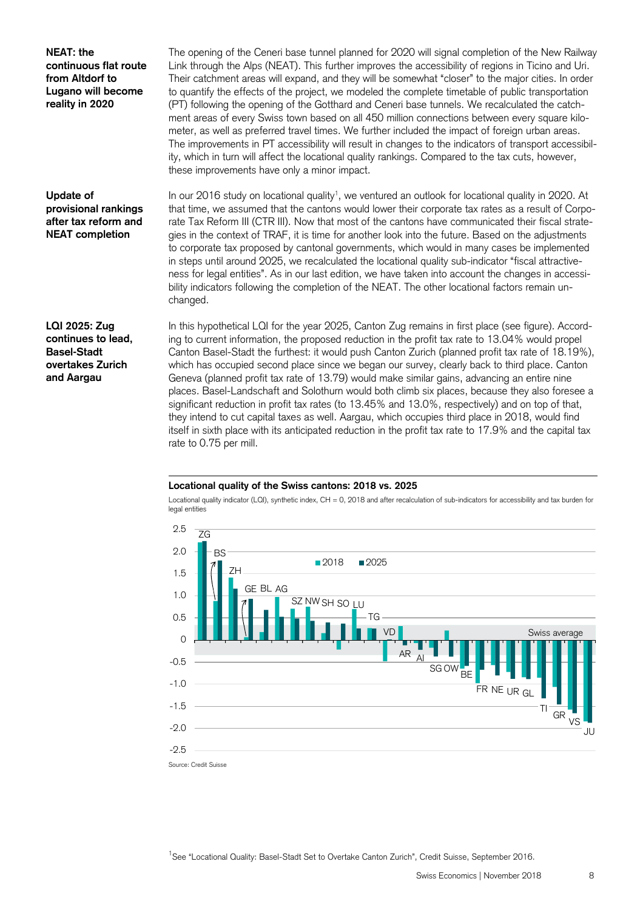**NEAT: the continuous flat route from Altdorf to Lugano will become reality in 2020** 

The opening of the Ceneri base tunnel planned for 2020 will signal completion of the New Railway Link through the Alps (NEAT). This further improves the accessibility of regions in Ticino and Uri. Their catchment areas will expand, and they will be somewhat "closer" to the major cities. In order to quantify the effects of the project, we modeled the complete timetable of public transportation (PT) following the opening of the Gotthard and Ceneri base tunnels. We recalculated the catchment areas of every Swiss town based on all 450 million connections between every square kilometer, as well as preferred travel times. We further included the impact of foreign urban areas. The improvements in PT accessibility will result in changes to the indicators of transport accessibility, which in turn will affect the locational quality rankings. Compared to the tax cuts, however, these improvements have only a minor impact.

### **Update of provisional rankings after tax reform and NEAT completion**

In our 2016 study on locational quality<sup>1</sup>, we ventured an outlook for locational quality in 2020. At that time, we assumed that the cantons would lower their corporate tax rates as a result of Corporate Tax Reform III (CTR III). Now that most of the cantons have communicated their fiscal strategies in the context of TRAF, it is time for another look into the future. Based on the adjustments to corporate tax proposed by cantonal governments, which would in many cases be implemented in steps until around 2025, we recalculated the locational quality sub-indicator "fiscal attractiveness for legal entities". As in our last edition, we have taken into account the changes in accessibility indicators following the completion of the NEAT. The other locational factors remain unchanged.

**LQI 2025: Zug continues to lead, Basel-Stadt overtakes Zurich and Aargau** 

In this hypothetical LQI for the year 2025, Canton Zug remains in first place (see figure). According to current information, the proposed reduction in the profit tax rate to 13.04% would propel Canton Basel-Stadt the furthest: it would push Canton Zurich (planned profit tax rate of 18.19%), which has occupied second place since we began our survey, clearly back to third place. Canton Geneva (planned profit tax rate of 13.79) would make similar gains, advancing an entire nine places. Basel-Landschaft and Solothurn would both climb six places, because they also foresee a significant reduction in profit tax rates (to 13.45% and 13.0%, respectively) and on top of that, they intend to cut capital taxes as well. Aargau, which occupies third place in 2018, would find itself in sixth place with its anticipated reduction in the profit tax rate to 17.9% and the capital tax rate to 0.75 per mill.

#### **Locational quality of the Swiss cantons: 2018 vs. 2025**

Locational quality indicator (LQI), synthetic index, CH = 0, 2018 and after recalculation of sub-indicators for accessibility and tax burden for legal entities



<sup>1</sup>See "Locational Quality: Basel-Stadt Set to Overtake Canton Zurich", Credit Suisse, September 2016.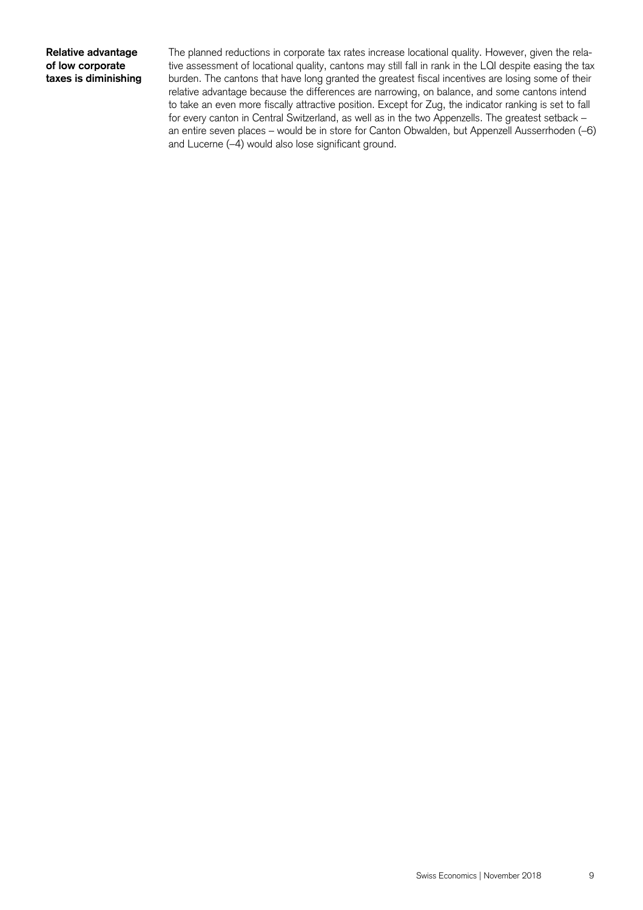#### **Relative advantage of low corporate taxes is diminishing**

The planned reductions in corporate tax rates increase locational quality. However, given the relative assessment of locational quality, cantons may still fall in rank in the LQI despite easing the tax burden. The cantons that have long granted the greatest fiscal incentives are losing some of their relative advantage because the differences are narrowing, on balance, and some cantons intend to take an even more fiscally attractive position. Except for Zug, the indicator ranking is set to fall for every canton in Central Switzerland, as well as in the two Appenzells. The greatest setback – an entire seven places – would be in store for Canton Obwalden, but Appenzell Ausserrhoden (–6) and Lucerne (–4) would also lose significant ground.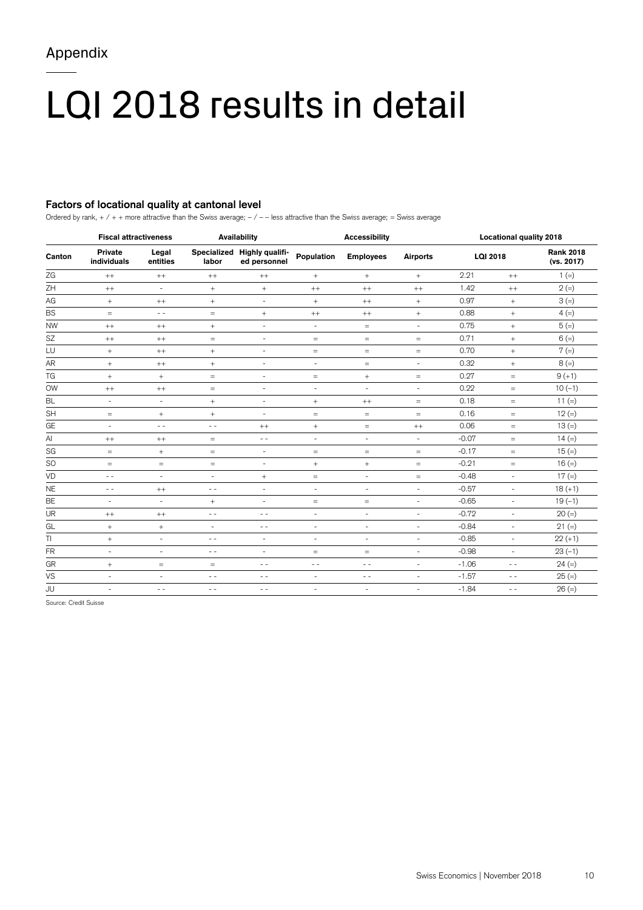# LQI 2018 results in detail

### **Factors of locational quality at cantonal level**

Ordered by rank,  $+$  /  $+$  + more attractive than the Swiss average;  $-$  /  $-$  less attractive than the Swiss average; = Swiss average

| Canton    | <b>Fiscal attractiveness</b>  |                          | <b>Availability</b>               |                                             | <b>Accessibility</b>     |                          |                                  | <b>Locational quality 2018</b> |                          |                                |
|-----------|-------------------------------|--------------------------|-----------------------------------|---------------------------------------------|--------------------------|--------------------------|----------------------------------|--------------------------------|--------------------------|--------------------------------|
|           | <b>Private</b><br>individuals | Legal<br>entities        | labor                             | Specialized Highly qualifi-<br>ed personnel | Population               | <b>Employees</b>         | <b>Airports</b>                  | <b>LQI 2018</b>                |                          | <b>Rank 2018</b><br>(vs. 2017) |
| ZG        | $^{++}$                       | $^{++}$                  | $^{++}$                           | $^{++}$                                     | $^{+}$                   | $^{+}$                   | $^{+}$                           | 2.21                           | $^{++}$                  | $1 (=)$                        |
| ZΗ        | $^{++}$                       | $\overline{\phantom{a}}$ | $+$                               | $+$                                         | $^{++}$                  | $^{++}$                  | $^{++}$                          | 1.42                           | $^{++}$                  | $2 (=)$                        |
| AG        | $+$                           | $^{++}$                  | $+$                               | $\overline{\phantom{a}}$                    | $\! + \!\!\!\!$          | $^{++}$                  | $^{+}$                           | 0.97                           | $^{+}$                   | $3 (=)$                        |
| <b>BS</b> | $\qquad \qquad =$             | $\frac{1}{2}$            | $\,=\,$                           | $^{+}$                                      | $^{++}$                  | $^{++}$                  | $\begin{array}{c} + \end{array}$ | 0.88                           | $^{+}$                   | $4 (=)$                        |
| <b>NW</b> | $^{++}$                       | $^{++}$                  | $+$                               | $\overline{\phantom{a}}$                    | $\overline{\phantom{a}}$ | $=$                      | $\overline{\phantom{a}}$         | 0.75                           | $+$                      | $5 (=)$                        |
| SZ        | $^{++}$                       | $^{++}$                  | $\qquad \qquad =$                 | $\overline{\phantom{a}}$                    | $\qquad \qquad =$        | $\qquad \qquad =$        | $\qquad \qquad =$                | 0.71                           | $^{+}$                   | $6 (=)$                        |
| LU        | $^{+}$                        | $^{++}$                  | $\! + \!\!\!\!$                   | $\overline{\phantom{a}}$                    | $\quad =$                | $\qquad \qquad =$        | $\quad =$                        | 0.70                           | $+$                      | $7 (=)$                        |
| AR        | $^{+}$                        | $^{++}$                  | $^{+}$                            | $\overline{\phantom{a}}$                    | $\overline{\phantom{a}}$ | $=$                      | $\sim$                           | 0.32                           | $^{+}$                   | $8 (=)$                        |
| TG        | $^{+}$                        | $+$                      | $\,=\,$                           | $\overline{\phantom{a}}$                    | $=$                      | $^{+}$                   | $=$                              | 0.27                           | $=$                      | $9 (+1)$                       |
| <b>OW</b> | $^{++}$                       | $^{++}$                  | $\qquad \qquad =$                 | $\overline{a}$                              | $\overline{\phantom{a}}$ | $\overline{\phantom{a}}$ | $\overline{\phantom{a}}$         | 0.22                           | $=$                      | $10(-1)$                       |
| BL        | $\overline{\phantom{a}}$      | $\overline{\phantom{a}}$ | $+$                               | $\overline{a}$                              | $\! + \!\!\!\!$          | $^{++}$                  | $\quad =$                        | 0.18                           | $\quad =$                | 11 $(=)$                       |
| <b>SH</b> | $\quad =$                     | $^{+}$                   | $+$                               | $\overline{\phantom{a}}$                    | $\quad =$                | $=$                      | $\quad =$                        | 0.16                           | $\qquad \qquad =$        | $12 (=)$                       |
| GE        | $\overline{\phantom{a}}$      | $\sim$ $\sim$            | $ -$                              | $^{++}$                                     | $\! + \!\!\!\!$          | $\qquad \qquad =$        | $^{++}$                          | 0.06                           | $\equiv$                 | $13 (=)$                       |
| Al        | $^{++}$                       | $^{++}$                  | $\qquad \qquad =$                 | $\sim$ $\sim$                               | $\overline{\phantom{a}}$ | $\sim$                   | $\overline{\phantom{a}}$         | $-0.07$                        | $=$                      | $14 (=)$                       |
| SG        | $=$                           | $^{+}$                   | $\qquad \qquad =$                 | $\overline{\phantom{a}}$                    | $\qquad \qquad =$        | $=$                      | $=$                              | $-0.17$                        | $=$                      | $15 (=)$                       |
| SO        | $\quad =$                     | $=$                      | $\qquad \qquad =$                 | $\overline{\phantom{a}}$                    | $\! + \!\!\!\!$          | $^{+}$                   | $=$                              | $-0.21$                        | $=$                      | $16 (=)$                       |
| VD        | $\sim$ $\sim$                 | $\sim$                   | $\overline{\phantom{a}}$          | $+$                                         | $\,=\,$                  | $\overline{\phantom{a}}$ | $=$                              | $-0.48$                        | $\overline{\phantom{a}}$ | $17 (=)$                       |
| <b>NE</b> | $ -$                          | $^{++}$                  | $\sim$ $\sim$                     | $\overline{\phantom{a}}$                    | $\overline{\phantom{a}}$ | ÷.                       | $\sim$                           | $-0.57$                        | $\overline{\phantom{a}}$ | $18 (+1)$                      |
| BE        | $\sim$                        | $\sim$                   | $\! + \!\!\!\!$                   | $\overline{\phantom{a}}$                    | $=$                      | $=$                      | $\overline{\phantom{a}}$         | $-0.65$                        | $\sim$                   | $19(-1)$                       |
| UR        | $^{++}$                       | $^{++}$                  | $\frac{1}{2}$                     | $\frac{1}{2}$                               | $\overline{\phantom{a}}$ | $\overline{\phantom{a}}$ | $\overline{\phantom{a}}$         | $-0.72$                        | $\overline{\phantom{a}}$ | $20 (=)$                       |
| GL        | $^{+}$                        | $+$                      | $\overline{\phantom{a}}$          | $ -$                                        | $\overline{\phantom{a}}$ | $\overline{a}$           | $\overline{\phantom{a}}$         | $-0.84$                        | $\overline{\phantom{a}}$ | $21 (=)$                       |
| TI        | $^{+}$                        | $\overline{\phantom{a}}$ | $ -$                              | $\overline{\phantom{a}}$                    | $\overline{\phantom{a}}$ | $\overline{\phantom{a}}$ | $\overline{\phantom{a}}$         | $-0.85$                        | $\overline{\phantom{a}}$ | $22 (+1)$                      |
| <b>FR</b> | $\overline{\phantom{a}}$      | $\overline{\phantom{a}}$ | $\sim$ $\sim$                     | $\overline{\phantom{a}}$                    | $=$                      | $=$                      | $\overline{\phantom{a}}$         | $-0.98$                        | $\overline{\phantom{a}}$ | $23(-1)$                       |
| GR        | $^{+}$                        | $\equiv$                 | $\hspace{1.6cm} = \hspace{1.6cm}$ | $\frac{1}{2}$                               | $\frac{1}{2}$            | $\frac{1}{2}$            | $\overline{\phantom{a}}$         | $-1.06$                        | $\frac{1}{2}$            | $24 (=)$                       |
| VS        | $\sim$                        | $\overline{\phantom{a}}$ | $ -$                              | $ -$                                        | $\overline{\phantom{a}}$ | $\frac{1}{2}$            | $\sim$                           | $-1.57$                        | $\frac{1}{2}$            | $25 (=)$                       |
| JU        | $\sim$                        | $\frac{1}{2}$            | $ -$                              | $\frac{1}{2}$                               | $\overline{\phantom{a}}$ | $\overline{\phantom{a}}$ | $\overline{\phantom{a}}$         | $-1.84$                        | $\frac{1}{2}$            | $26 (=)$                       |

Source: Credit Suisse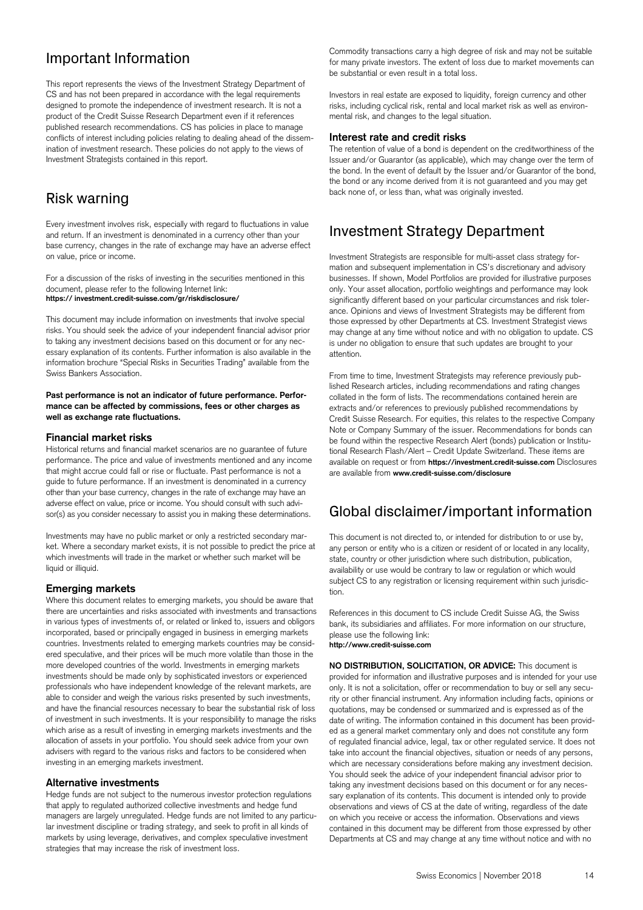# Important Information

This report represents the views of the Investment Strategy Department of CS and has not been prepared in accordance with the legal requirements designed to promote the independence of investment research. It is not a product of the Credit Suisse Research Department even if it references published research recommendations. CS has policies in place to manage conflicts of interest including policies relating to dealing ahead of the dissemination of investment research. These policies do not apply to the views of Investment Strategists contained in this report.

## Risk warning

Every investment involves risk, especially with regard to fluctuations in value and return. If an investment is denominated in a currency other than your base currency, changes in the rate of exchange may have an adverse effect on value, price or income.

For a discussion of the risks of investing in the securities mentioned in this document, please refer to the following Internet link: **https:// investment.credit-suisse.com/gr/riskdisclosure/** 

This document may include information on investments that involve special risks. You should seek the advice of your independent financial advisor prior to taking any investment decisions based on this document or for any necessary explanation of its contents. Further information is also available in the information brochure "Special Risks in Securities Trading" available from the Swiss Bankers Association.

**Past performance is not an indicator of future performance. Performance can be affected by commissions, fees or other charges as well as exchange rate fluctuations.** 

#### **Financial market risks**

Historical returns and financial market scenarios are no guarantee of future performance. The price and value of investments mentioned and any income that might accrue could fall or rise or fluctuate. Past performance is not a guide to future performance. If an investment is denominated in a currency other than your base currency, changes in the rate of exchange may have an adverse effect on value, price or income. You should consult with such advisor(s) as you consider necessary to assist you in making these determinations.

Investments may have no public market or only a restricted secondary market. Where a secondary market exists, it is not possible to predict the price at which investments will trade in the market or whether such market will be liquid or illiquid.

#### **Emerging markets**

Where this document relates to emerging markets, you should be aware that there are uncertainties and risks associated with investments and transactions in various types of investments of, or related or linked to, issuers and obligors incorporated, based or principally engaged in business in emerging markets countries. Investments related to emerging markets countries may be considered speculative, and their prices will be much more volatile than those in the more developed countries of the world. Investments in emerging markets investments should be made only by sophisticated investors or experienced professionals who have independent knowledge of the relevant markets, are able to consider and weigh the various risks presented by such investments, and have the financial resources necessary to bear the substantial risk of loss of investment in such investments. It is your responsibility to manage the risks which arise as a result of investing in emerging markets investments and the allocation of assets in your portfolio. You should seek advice from your own advisers with regard to the various risks and factors to be considered when investing in an emerging markets investment.

#### **Alternative investments**

Hedge funds are not subject to the numerous investor protection regulations that apply to regulated authorized collective investments and hedge fund managers are largely unregulated. Hedge funds are not limited to any particular investment discipline or trading strategy, and seek to profit in all kinds of markets by using leverage, derivatives, and complex speculative investment strategies that may increase the risk of investment loss.

Commodity transactions carry a high degree of risk and may not be suitable for many private investors. The extent of loss due to market movements can be substantial or even result in a total loss.

Investors in real estate are exposed to liquidity, foreign currency and other risks, including cyclical risk, rental and local market risk as well as environmental risk, and changes to the legal situation.

#### **Interest rate and credit risks**

The retention of value of a bond is dependent on the creditworthiness of the Issuer and/or Guarantor (as applicable), which may change over the term of the bond. In the event of default by the Issuer and/or Guarantor of the bond, the bond or any income derived from it is not guaranteed and you may get back none of, or less than, what was originally invested.

## Investment Strategy Department

Investment Strategists are responsible for multi-asset class strategy formation and subsequent implementation in CS's discretionary and advisory businesses. If shown, Model Portfolios are provided for illustrative purposes only. Your asset allocation, portfolio weightings and performance may look significantly different based on your particular circumstances and risk tolerance. Opinions and views of Investment Strategists may be different from those expressed by other Departments at CS. Investment Strategist views may change at any time without notice and with no obligation to update. CS is under no obligation to ensure that such updates are brought to your attention.

From time to time, Investment Strategists may reference previously published Research articles, including recommendations and rating changes collated in the form of lists. The recommendations contained herein are extracts and/or references to previously published recommendations by Credit Suisse Research. For equities, this relates to the respective Company Note or Company Summary of the issuer. Recommendations for bonds can be found within the respective Research Alert (bonds) publication or Institutional Research Flash/Alert – Credit Update Switzerland. These items are available on request or from **https://investment.credit-suisse.com** Disclosures are available from **www.credit-suisse.com/disclosure**

## Global disclaimer/important information

This document is not directed to, or intended for distribution to or use by, any person or entity who is a citizen or resident of or located in any locality, state, country or other jurisdiction where such distribution, publication, availability or use would be contrary to law or regulation or which would subject CS to any registration or licensing requirement within such jurisdiction.

References in this document to CS include Credit Suisse AG, the Swiss bank, its subsidiaries and affiliates. For more information on our structure, please use the following link: **http://www.credit-suisse.com** 

**NO DISTRIBUTION, SOLICITATION, OR ADVICE:** This document is provided for information and illustrative purposes and is intended for your use only. It is not a solicitation, offer or recommendation to buy or sell any security or other financial instrument. Any information including facts, opinions or quotations, may be condensed or summarized and is expressed as of the date of writing. The information contained in this document has been provided as a general market commentary only and does not constitute any form of regulated financial advice, legal, tax or other regulated service. It does not take into account the financial objectives, situation or needs of any persons, which are necessary considerations before making any investment decision. You should seek the advice of your independent financial advisor prior to taking any investment decisions based on this document or for any necessary explanation of its contents. This document is intended only to provide observations and views of CS at the date of writing, regardless of the date on which you receive or access the information. Observations and views contained in this document may be different from those expressed by other Departments at CS and may change at any time without notice and with no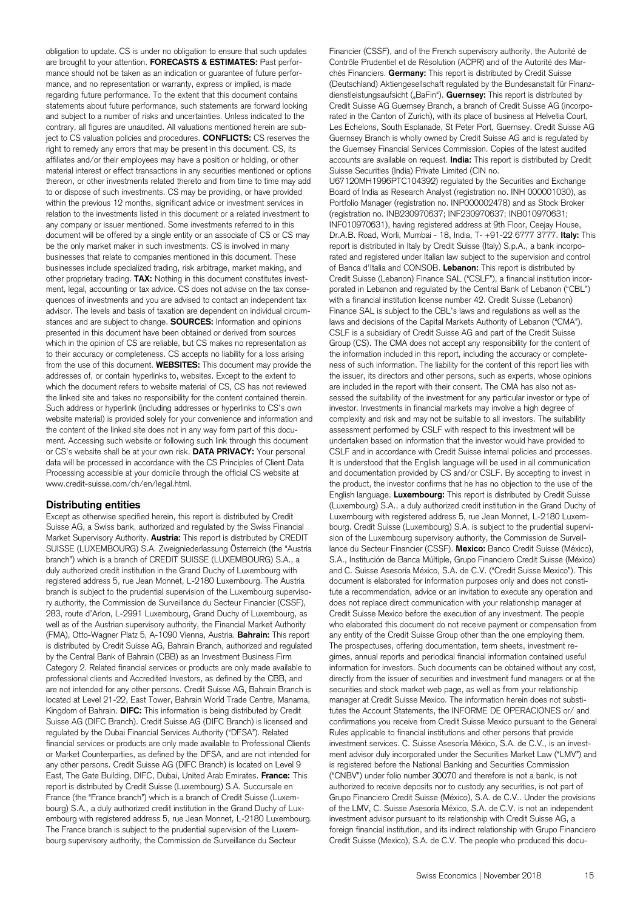obligation to update. CS is under no obligation to ensure that such updates are brought to your attention. **FORECASTS & ESTIMATES:** Past performance should not be taken as an indication or guarantee of future performance, and no representation or warranty, express or implied, is made regarding future performance. To the extent that this document contains statements about future performance, such statements are forward looking and subject to a number of risks and uncertainties. Unless indicated to the contrary, all figures are unaudited. All valuations mentioned herein are subject to CS valuation policies and procedures. **CONFLICTS:** CS reserves the right to remedy any errors that may be present in this document. CS, its affiliates and/or their employees may have a position or holding, or other material interest or effect transactions in any securities mentioned or options thereon, or other investments related thereto and from time to time may add to or dispose of such investments. CS may be providing, or have provided within the previous 12 months, significant advice or investment services in relation to the investments listed in this document or a related investment to any company or issuer mentioned. Some investments referred to in this document will be offered by a single entity or an associate of CS or CS may be the only market maker in such investments. CS is involved in many businesses that relate to companies mentioned in this document. These businesses include specialized trading, risk arbitrage, market making, and other proprietary trading. **TAX:** Nothing in this document constitutes investment, legal, accounting or tax advice. CS does not advise on the tax consequences of investments and you are advised to contact an independent tax advisor. The levels and basis of taxation are dependent on individual circumstances and are subject to change. **SOURCES:** Information and opinions presented in this document have been obtained or derived from sources which in the opinion of CS are reliable, but CS makes no representation as to their accuracy or completeness. CS accepts no liability for a loss arising from the use of this document. **WEBSITES:** This document may provide the addresses of, or contain hyperlinks to, websites. Except to the extent to which the document refers to website material of CS, CS has not reviewed the linked site and takes no responsibility for the content contained therein. Such address or hyperlink (including addresses or hyperlinks to CS's own website material) is provided solely for your convenience and information and the content of the linked site does not in any way form part of this document. Accessing such website or following such link through this document or CS's website shall be at your own risk. **DATA PRIVACY:** Your personal data will be processed in accordance with the CS Principles of Client Data Processing accessible at your domicile through the official CS website at www.credit-suisse.com/ch/en/legal.html.

#### **Distributing entities**

Except as otherwise specified herein, this report is distributed by Credit Suisse AG, a Swiss bank, authorized and regulated by the Swiss Financial Market Supervisory Authority. **Austria:** This report is distributed by CREDIT SUISSE (LUXEMBOURG) S.A. Zweigniederlassung Österreich (the "Austria branch") which is a branch of CREDIT SUISSE (LUXEMBOURG) S.A., a duly authorized credit institution in the Grand Duchy of Luxembourg with registered address 5, rue Jean Monnet, L-2180 Luxembourg. The Austria branch is subject to the prudential supervision of the Luxembourg supervisory authority, the Commission de Surveillance du Secteur Financier (CSSF), 283, route d'Arlon, L-2991 Luxembourg, Grand Duchy of Luxembourg, as well as of the Austrian supervisory authority, the Financial Market Authority (FMA), Otto-Wagner Platz 5, A-1090 Vienna, Austria. **Bahrain:** This report is distributed by Credit Suisse AG, Bahrain Branch, authorized and regulated by the Central Bank of Bahrain (CBB) as an Investment Business Firm Category 2. Related financial services or products are only made available to professional clients and Accredited Investors, as defined by the CBB, and are not intended for any other persons. Credit Suisse AG, Bahrain Branch is located at Level 21-22, East Tower, Bahrain World Trade Centre, Manama, Kingdom of Bahrain. **DIFC:** This information is being distributed by Credit Suisse AG (DIFC Branch). Credit Suisse AG (DIFC Branch) is licensed and regulated by the Dubai Financial Services Authority ("DFSA"). Related financial services or products are only made available to Professional Clients or Market Counterparties, as defined by the DFSA, and are not intended for any other persons. Credit Suisse AG (DIFC Branch) is located on Level 9 East, The Gate Building, DIFC, Dubai, United Arab Emirates. **France:** This report is distributed by Credit Suisse (Luxembourg) S.A. Succursale en France (the "France branch") which is a branch of Credit Suisse (Luxembourg) S.A., a duly authorized credit institution in the Grand Duchy of Luxembourg with registered address 5, rue Jean Monnet, L-2180 Luxembourg. The France branch is subject to the prudential supervision of the Luxembourg supervisory authority, the Commission de Surveillance du Secteur

Financier (CSSF), and of the French supervisory authority, the Autorité de Contrôle Prudentiel et de Résolution (ACPR) and of the Autorité des Marchés Financiers. **Germany:** This report is distributed by Credit Suisse (Deutschland) Aktiengesellschaft regulated by the Bundesanstalt für Finanzdienstleistungsaufsicht ("BaFin"). **Guernsey:** This report is distributed by Credit Suisse AG Guernsey Branch, a branch of Credit Suisse AG (incorporated in the Canton of Zurich), with its place of business at Helvetia Court, Les Echelons, South Esplanade, St Peter Port, Guernsey. Credit Suisse AG Guernsey Branch is wholly owned by Credit Suisse AG and is regulated by the Guernsey Financial Services Commission. Copies of the latest audited accounts are available on request. **India:** This report is distributed by Credit Suisse Securities (India) Private Limited (CIN no. U67120MH1996PTC104392) regulated by the Securities and Exchange Board of India as Research Analyst (registration no. INH 000001030), as Portfolio Manager (registration no. INP000002478) and as Stock Broker (registration no. INB230970637; INF230970637; INB010970631; INF010970631), having registered address at 9th Floor, Ceejay House, Dr.A.B. Road, Worli, Mumbai - 18, India, T- +91-22 6777 3777. **Italy:** This report is distributed in Italy by Credit Suisse (Italy) S.p.A., a bank incorporated and registered under Italian law subject to the supervision and control of Banca d'Italia and CONSOB. **Lebanon:** This report is distributed by Credit Suisse (Lebanon) Finance SAL ("CSLF"), a financial institution incorporated in Lebanon and regulated by the Central Bank of Lebanon ("CBL") with a financial institution license number 42. Credit Suisse (Lebanon) Finance SAL is subject to the CBL's laws and regulations as well as the laws and decisions of the Capital Markets Authority of Lebanon ("CMA"). CSLF is a subsidiary of Credit Suisse AG and part of the Credit Suisse Group (CS). The CMA does not accept any responsibility for the content of the information included in this report, including the accuracy or completeness of such information. The liability for the content of this report lies with the issuer, its directors and other persons, such as experts, whose opinions are included in the report with their consent. The CMA has also not assessed the suitability of the investment for any particular investor or type of investor. Investments in financial markets may involve a high degree of complexity and risk and may not be suitable to all investors. The suitability assessment performed by CSLF with respect to this investment will be undertaken based on information that the investor would have provided to CSLF and in accordance with Credit Suisse internal policies and processes. It is understood that the English language will be used in all communication and documentation provided by CS and/or CSLF. By accepting to invest in the product, the investor confirms that he has no objection to the use of the English language. **Luxembourg:** This report is distributed by Credit Suisse (Luxembourg) S.A., a duly authorized credit institution in the Grand Duchy of Luxembourg with registered address 5, rue Jean Monnet, L-2180 Luxembourg. Credit Suisse (Luxembourg) S.A. is subject to the prudential supervision of the Luxembourg supervisory authority, the Commission de Surveillance du Secteur Financier (CSSF). **Mexico:** Banco Credit Suisse (México), S.A., Institución de Banca Múltiple, Grupo Financiero Credit Suisse (México) and C. Suisse Asesoría México, S.A. de C.V. ("Credit Suisse Mexico"). This document is elaborated for information purposes only and does not constitute a recommendation, advice or an invitation to execute any operation and does not replace direct communication with your relationship manager at Credit Suisse Mexico before the execution of any investment. The people who elaborated this document do not receive payment or compensation from any entity of the Credit Suisse Group other than the one employing them. The prospectuses, offering documentation, term sheets, investment regimes, annual reports and periodical financial information contained useful information for investors. Such documents can be obtained without any cost, directly from the issuer of securities and investment fund managers or at the securities and stock market web page, as well as from your relationship manager at Credit Suisse Mexico. The information herein does not substitutes the Account Statements, the INFORME DE OPERACIONES or/ and confirmations you receive from Credit Suisse Mexico pursuant to the General Rules applicable to financial institutions and other persons that provide investment services. C. Suisse Asesoría México, S.A. de C.V., is an investment advisor duly incorporated under the Securities Market Law ("LMV") and is registered before the National Banking and Securities Commission ("CNBV") under folio number 30070 and therefore is not a bank, is not authorized to receive deposits nor to custody any securities, is not part of Grupo Financiero Credit Suisse (México), S.A. de C.V.. Under the provisions of the LMV, C. Suisse Asesoría México, S.A. de C.V. is not an independent investment advisor pursuant to its relationship with Credit Suisse AG, a foreign financial institution, and its indirect relationship with Grupo Financiero Credit Suisse (Mexico), S.A. de C.V. The people who produced this docu-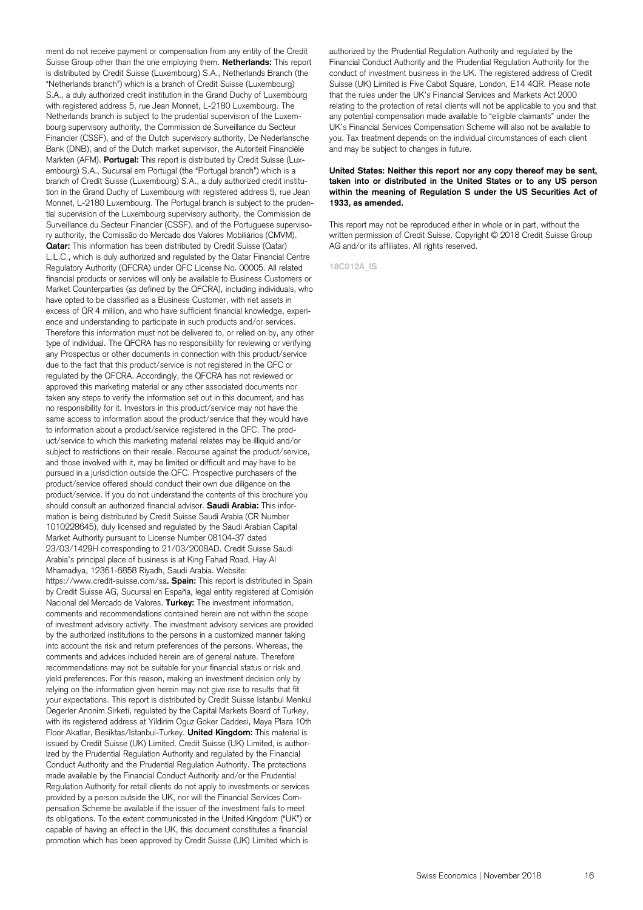ment do not receive payment or compensation from any entity of the Credit Suisse Group other than the one employing them. **Netherlands:** This report is distributed by Credit Suisse (Luxembourg) S.A., Netherlands Branch (the "Netherlands branch") which is a branch of Credit Suisse (Luxembourg) S.A., a duly authorized credit institution in the Grand Duchy of Luxembourg with registered address 5, rue Jean Monnet, L-2180 Luxembourg. The Netherlands branch is subject to the prudential supervision of the Luxembourg supervisory authority, the Commission de Surveillance du Secteur Financier (CSSF), and of the Dutch supervisory authority, De Nederlansche Bank (DNB), and of the Dutch market supervisor, the Autoriteit Financiële Markten (AFM). **Portugal:** This report is distributed by Credit Suisse (Luxembourg) S.A., Sucursal em Portugal (the "Portugal branch") which is a branch of Credit Suisse (Luxembourg) S.A., a duly authorized credit institution in the Grand Duchy of Luxembourg with registered address 5, rue Jean Monnet, L-2180 Luxembourg. The Portugal branch is subject to the prudential supervision of the Luxembourg supervisory authority, the Commission de Surveillance du Secteur Financier (CSSF), and of the Portuguese supervisory authority, the Comissão do Mercado dos Valores Mobiliários (CMVM). **Qatar:** This information has been distributed by Credit Suisse (Qatar) L.L.C., which is duly authorized and regulated by the Qatar Financial Centre Regulatory Authority (QFCRA) under QFC License No. 00005. All related financial products or services will only be available to Business Customers or Market Counterparties (as defined by the QFCRA), including individuals, who have opted to be classified as a Business Customer, with net assets in excess of QR 4 million, and who have sufficient financial knowledge, experience and understanding to participate in such products and/or services. Therefore this information must not be delivered to, or relied on by, any other type of individual. The QFCRA has no responsibility for reviewing or verifying any Prospectus or other documents in connection with this product/service due to the fact that this product/service is not registered in the QFC or regulated by the QFCRA. Accordingly, the QFCRA has not reviewed or approved this marketing material or any other associated documents nor taken any steps to verify the information set out in this document, and has no responsibility for it. Investors in this product/service may not have the same access to information about the product/service that they would have to information about a product/service registered in the QFC. The product/service to which this marketing material relates may be illiquid and/or subject to restrictions on their resale. Recourse against the product/service, and those involved with it, may be limited or difficult and may have to be pursued in a jurisdiction outside the QFC. Prospective purchasers of the product/service offered should conduct their own due diligence on the product/service. If you do not understand the contents of this brochure you should consult an authorized financial advisor. **Saudi Arabia:** This information is being distributed by Credit Suisse Saudi Arabia (CR Number 1010228645), duly licensed and regulated by the Saudi Arabian Capital Market Authority pursuant to License Number 08104-37 dated 23/03/1429H corresponding to 21/03/2008AD. Credit Suisse Saudi Arabia's principal place of business is at King Fahad Road, Hay Al Mhamadiya, 12361-6858 Riyadh, Saudi Arabia. Website: https://www.credit-suisse.com/sa**. Spain:** This report is distributed in Spain by Credit Suisse AG, Sucursal en España, legal entity registered at Comisión Nacional del Mercado de Valores. **Turkey:** The investment information, comments and recommendations contained herein are not within the scope of investment advisory activity. The investment advisory services are provided by the authorized institutions to the persons in a customized manner taking into account the risk and return preferences of the persons. Whereas, the comments and advices included herein are of general nature. Therefore recommendations may not be suitable for your financial status or risk and yield preferences. For this reason, making an investment decision only by relying on the information given herein may not give rise to results that fit your expectations. This report is distributed by Credit Suisse Istanbul Menkul Degerler Anonim Sirketi, regulated by the Capital Markets Board of Turkey, with its registered address at Yildirim Oguz Goker Caddesi, Maya Plaza 10th Floor Akatlar, Besiktas/Istanbul-Turkey. **United Kingdom:** This material is issued by Credit Suisse (UK) Limited. Credit Suisse (UK) Limited, is authorized by the Prudential Regulation Authority and regulated by the Financial Conduct Authority and the Prudential Regulation Authority. The protections made available by the Financial Conduct Authority and/or the Prudential Regulation Authority for retail clients do not apply to investments or services provided by a person outside the UK, nor will the Financial Services Compensation Scheme be available if the issuer of the investment fails to meet its obligations. To the extent communicated in the United Kingdom ("UK") or capable of having an effect in the UK, this document constitutes a financial promotion which has been approved by Credit Suisse (UK) Limited which is

authorized by the Prudential Regulation Authority and regulated by the Financial Conduct Authority and the Prudential Regulation Authority for the conduct of investment business in the UK. The registered address of Credit Suisse (UK) Limited is Five Cabot Square, London, E14 4QR. Please note that the rules under the UK's Financial Services and Markets Act 2000 relating to the protection of retail clients will not be applicable to you and that any potential compensation made available to "eligible claimants" under the UK's Financial Services Compensation Scheme will also not be available to you. Tax treatment depends on the individual circumstances of each client and may be subject to changes in future.

#### **United States: Neither this report nor any copy thereof may be sent, taken into or distributed in the United States or to any US person within the meaning of Regulation S under the US Securities Act of 1933, as amended.**

This report may not be reproduced either in whole or in part, without the written permission of Credit Suisse. Copyright © 2018 Credit Suisse Group AG and/or its affiliates. All rights reserved.

**18C012A\_IS**